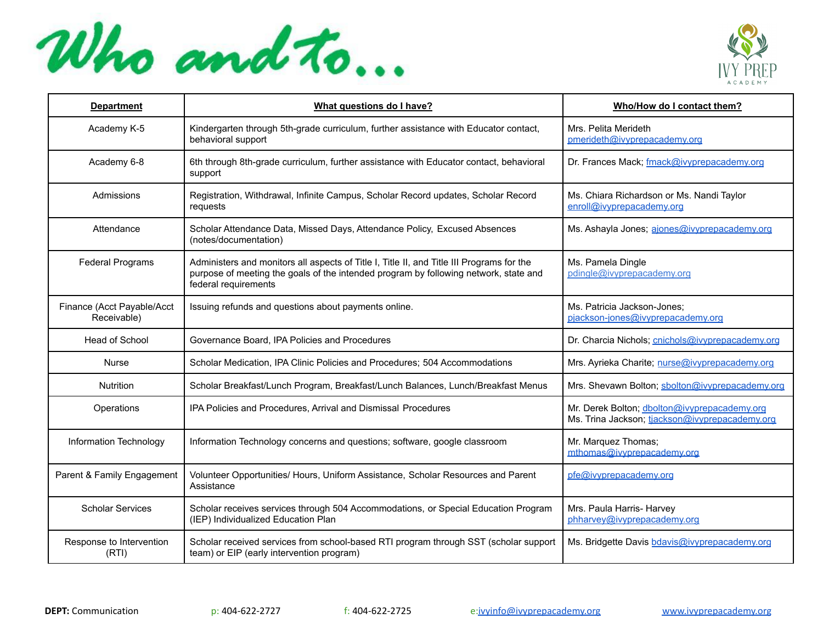



| <b>Department</b>                         | What questions do I have?                                                                                                                                                                                 | Who/How do I contact them?                                                                     |
|-------------------------------------------|-----------------------------------------------------------------------------------------------------------------------------------------------------------------------------------------------------------|------------------------------------------------------------------------------------------------|
| Academy K-5                               | Kindergarten through 5th-grade curriculum, further assistance with Educator contact,<br>behavioral support                                                                                                | Mrs. Pelita Merideth<br>pmerideth@ivyprepacademy.org                                           |
| Academy 6-8                               | 6th through 8th-grade curriculum, further assistance with Educator contact, behavioral<br>support                                                                                                         | Dr. Frances Mack; fmack@ivyprepacademy.org                                                     |
| Admissions                                | Registration, Withdrawal, Infinite Campus, Scholar Record updates, Scholar Record<br>requests                                                                                                             | Ms. Chiara Richardson or Ms. Nandi Taylor<br>enroll@ivvprepacademv.org                         |
| Attendance                                | Scholar Attendance Data, Missed Days, Attendance Policy, Excused Absences<br>(notes/documentation)                                                                                                        | Ms. Ashayla Jones; ajones@ivyprepacademy.org                                                   |
| <b>Federal Programs</b>                   | Administers and monitors all aspects of Title I, Title II, and Title III Programs for the<br>purpose of meeting the goals of the intended program by following network, state and<br>federal requirements | Ms. Pamela Dingle<br>pdingle@ivyprepacademy.org                                                |
| Finance (Acct Payable/Acct<br>Receivable) | Issuing refunds and questions about payments online.                                                                                                                                                      | Ms. Patricia Jackson-Jones;<br>pjackson-jones@ivyprepacademy.org                               |
| Head of School                            | Governance Board, IPA Policies and Procedures                                                                                                                                                             | Dr. Charcia Nichols; cnichols@ivyprepacademy.org                                               |
| Nurse                                     | Scholar Medication, IPA Clinic Policies and Procedures; 504 Accommodations                                                                                                                                | Mrs. Ayrieka Charite; nurse@ivvprepacademv.org                                                 |
| Nutrition                                 | Scholar Breakfast/Lunch Program, Breakfast/Lunch Balances, Lunch/Breakfast Menus                                                                                                                          | Mrs. Shevawn Bolton; sbolton@ivyprepacademy.org                                                |
| Operations                                | IPA Policies and Procedures, Arrival and Dismissal Procedures                                                                                                                                             | Mr. Derek Bolton; dbolton@ivyprepacademy.org<br>Ms. Trina Jackson; tiackson@ivvprepacademv.org |
| Information Technology                    | Information Technology concerns and questions; software, google classroom                                                                                                                                 | Mr. Marquez Thomas;<br>mthomas@ivyprepacademy.org                                              |
| Parent & Family Engagement                | Volunteer Opportunities/ Hours, Uniform Assistance, Scholar Resources and Parent<br>Assistance                                                                                                            | pfe@ivyprepacademy.org                                                                         |
| <b>Scholar Services</b>                   | Scholar receives services through 504 Accommodations, or Special Education Program<br>(IEP) Individualized Education Plan                                                                                 | Mrs. Paula Harris- Harvey<br>phharvey@ivyprepacademy.org                                       |
| Response to Intervention<br>(RTI)         | Scholar received services from school-based RTI program through SST (scholar support<br>team) or EIP (early intervention program)                                                                         | Ms. Bridgette Davis bdavis@ivyprepacademy.org                                                  |